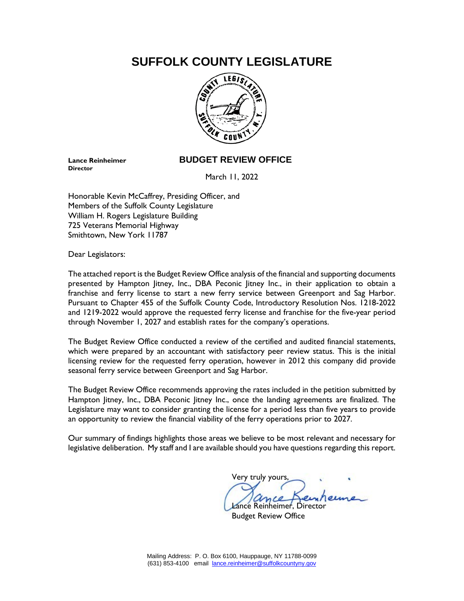# **SUFFOLK COUNTY LEGISLATURE**



**Director**

# **Lance Reinheimer BUDGET REVIEW OFFICE**

March 11, 2022

Honorable Kevin McCaffrey, Presiding Officer, and Members of the Suffolk County Legislature William H. Rogers Legislature Building 725 Veterans Memorial Highway Smithtown, New York 11787

Dear Legislators:

The attached report is the Budget Review Office analysis of the financial and supporting documents presented by Hampton Jitney, Inc., DBA Peconic Jitney Inc., in their application to obtain a franchise and ferry license to start a new ferry service between Greenport and Sag Harbor. Pursuant to Chapter 455 of the Suffolk County Code, Introductory Resolution Nos. 1218-2022 and 1219-2022 would approve the requested ferry license and franchise for the five-year period through November 1, 2027 and establish rates for the company's operations.

The Budget Review Office conducted a review of the certified and audited financial statements, which were prepared by an accountant with satisfactory peer review status. This is the initial licensing review for the requested ferry operation, however in 2012 this company did provide seasonal ferry service between Greenport and Sag Harbor.

The Budget Review Office recommends approving the rates included in the petition submitted by Hampton Jitney, Inc., DBA Peconic Jitney Inc., once the landing agreements are finalized. The Legislature may want to consider granting the license for a period less than five years to provide an opportunity to review the financial viability of the ferry operations prior to 2027.

Our summary of findings highlights those areas we believe to be most relevant and necessary for legislative deliberation. My staff and I are available should you have questions regarding this report.

Very truly yours, ance Reinheimer, Director Budget Review Office

Mailing Address: P. O. Box 6100, Hauppauge, NY 11788-0099 (631) 853-4100 email [lance.reinheimer@suffolkcountyny.gov](mailto:lance.reinheimer@suffolkcountyny.gov)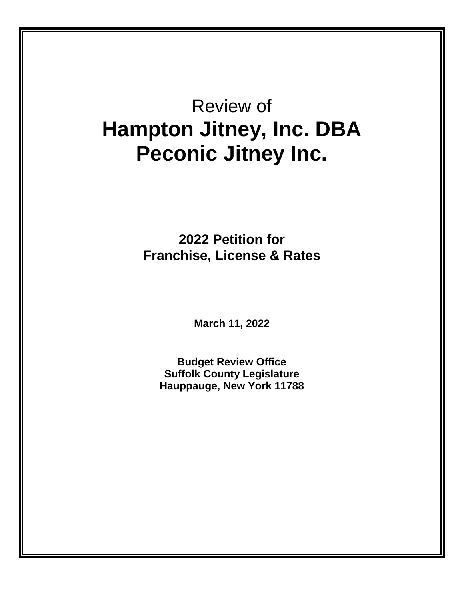# Review of **Hampton Jitney, Inc. DBA Peconic Jitney Inc.**

**2022 Petition for Franchise, License & Rates** 

**March 11, 2022**

**Budget Review Office Suffolk County Legislature Hauppauge, New York 11788**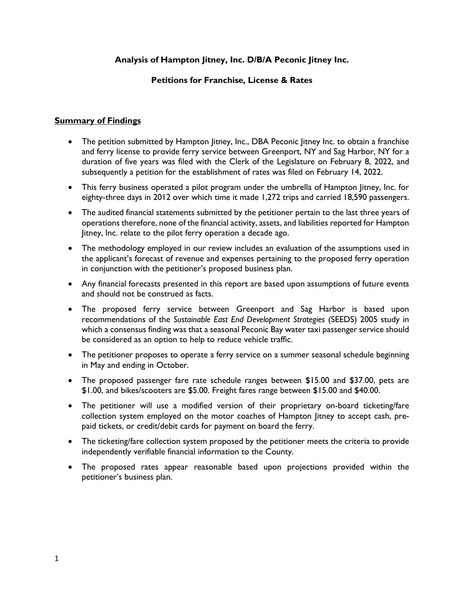# **Analysis of Hampton Jitney, Inc. D/B/A Peconic Jitney Inc.**

# **Petitions for Franchise, License & Rates**

# **Summary of Findings**

- The petition submitted by Hampton Jitney, Inc., DBA Peconic Jitney Inc. to obtain a franchise and ferry license to provide ferry service between Greenport, NY and Sag Harbor, NY for a duration of five years was filed with the Clerk of the Legislature on February 8, 2022, and subsequently a petition for the establishment of rates was filed on February 14, 2022.
- This ferry business operated a pilot program under the umbrella of Hampton Jitney, Inc. for eighty-three days in 2012 over which time it made 1,272 trips and carried 18,590 passengers.
- The audited financial statements submitted by the petitioner pertain to the last three years of operations therefore, none of the financial activity, assets, and liabilities reported for Hampton Jitney, Inc. relate to the pilot ferry operation a decade ago.
- The methodology employed in our review includes an evaluation of the assumptions used in the applicant's forecast of revenue and expenses pertaining to the proposed ferry operation in conjunction with the petitioner's proposed business plan.
- Any financial forecasts presented in this report are based upon assumptions of future events and should not be construed as facts.
- The proposed ferry service between Greenport and Sag Harbor is based upon recommendations of the *Sustainable East End Development Strategies* (SEEDS) 2005 study in which a consensus finding was that a seasonal Peconic Bay water taxi passenger service should be considered as an option to help to reduce vehicle traffic.
- The petitioner proposes to operate a ferry service on a summer seasonal schedule beginning in May and ending in October.
- The proposed passenger fare rate schedule ranges between \$15.00 and \$37.00, pets are \$1.00, and bikes/scooters are \$5.00. Freight fares range between \$15.00 and \$40.00.
- The petitioner will use a modified version of their proprietary on-board ticketing/fare collection system employed on the motor coaches of Hampton Jitney to accept cash, prepaid tickets, or credit/debit cards for payment on board the ferry.
- The ticketing/fare collection system proposed by the petitioner meets the criteria to provide independently verifiable financial information to the County.
- The proposed rates appear reasonable based upon projections provided within the petitioner's business plan.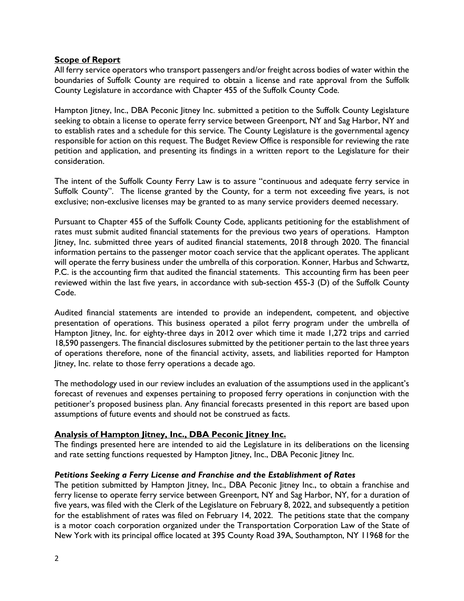# **Scope of Report**

All ferry service operators who transport passengers and/or freight across bodies of water within the boundaries of Suffolk County are required to obtain a license and rate approval from the Suffolk County Legislature in accordance with Chapter 455 of the Suffolk County Code.

Hampton Jitney, Inc., DBA Peconic Jitney Inc. submitted a petition to the Suffolk County Legislature seeking to obtain a license to operate ferry service between Greenport, NY and Sag Harbor, NY and to establish rates and a schedule for this service. The County Legislature is the governmental agency responsible for action on this request. The Budget Review Office is responsible for reviewing the rate petition and application, and presenting its findings in a written report to the Legislature for their consideration.

The intent of the Suffolk County Ferry Law is to assure "continuous and adequate ferry service in Suffolk County". The license granted by the County, for a term not exceeding five years, is not exclusive; non-exclusive licenses may be granted to as many service providers deemed necessary.

Pursuant to Chapter 455 of the Suffolk County Code, applicants petitioning for the establishment of rates must submit audited financial statements for the previous two years of operations. Hampton Jitney, Inc. submitted three years of audited financial statements, 2018 through 2020. The financial information pertains to the passenger motor coach service that the applicant operates. The applicant will operate the ferry business under the umbrella of this corporation. Konner, Harbus and Schwartz, P.C. is the accounting firm that audited the financial statements. This accounting firm has been peer reviewed within the last five years, in accordance with sub-section 455-3 (D) of the Suffolk County Code.

Audited financial statements are intended to provide an independent, competent, and objective presentation of operations. This business operated a pilot ferry program under the umbrella of Hampton Jitney, Inc. for eighty-three days in 2012 over which time it made 1,272 trips and carried 18,590 passengers. The financial disclosures submitted by the petitioner pertain to the last three years of operations therefore, none of the financial activity, assets, and liabilities reported for Hampton Jitney, Inc. relate to those ferry operations a decade ago.

The methodology used in our review includes an evaluation of the assumptions used in the applicant's forecast of revenues and expenses pertaining to proposed ferry operations in conjunction with the petitioner's proposed business plan. Any financial forecasts presented in this report are based upon assumptions of future events and should not be construed as facts.

# **Analysis of Hampton Jitney, Inc., DBA Peconic Jitney Inc.**

The findings presented here are intended to aid the Legislature in its deliberations on the licensing and rate setting functions requested by Hampton Jitney, Inc., DBA Peconic Jitney Inc.

#### *Petitions Seeking a Ferry License and Franchise and the Establishment of Rates*

The petition submitted by Hampton Jitney, Inc., DBA Peconic Jitney Inc., to obtain a franchise and ferry license to operate ferry service between Greenport, NY and Sag Harbor, NY, for a duration of five years, was filed with the Clerk of the Legislature on February 8, 2022, and subsequently a petition for the establishment of rates was filed on February 14, 2022. The petitions state that the company is a motor coach corporation organized under the Transportation Corporation Law of the State of New York with its principal office located at 395 County Road 39A, Southampton, NY 11968 for the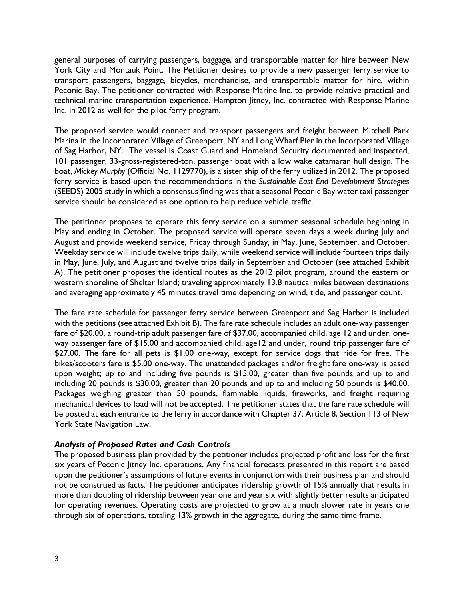general purposes of carrying passengers, baggage, and transportable matter for hire between New York City and Montauk Point. The Petitioner desires to provide a new passenger ferry service to transport passengers, baggage, bicycles, merchandise, and transportable matter for hire, within Peconic Bay. The petitioner contracted with Response Marine Inc. to provide relative practical and technical marine transportation experience. Hampton Jitney, Inc. contracted with Response Marine Inc. in 2012 as well for the pilot ferry program.

The proposed service would connect and transport passengers and freight between Mitchell Park Marina in the Incorporated Village of Greenport, NY and Long Wharf Pier in the Incorporated Village of Sag Harbor, NY. The vessel is Coast Guard and Homeland Security documented and inspected, 101 passenger, 33-gross-registered-ton, passenger boat with a low wake catamaran hull design. The boat, *Mickey Murphy* (Official No. 1129770), is a sister ship of the ferry utilized in 2012. The proposed ferry service is based upon the recommendations in the *Sustainable East End Development Strategies* (SEEDS) 2005 study in which a consensus finding was that a seasonal Peconic Bay water taxi passenger service should be considered as one option to help reduce vehicle traffic.

The petitioner proposes to operate this ferry service on a summer seasonal schedule beginning in May and ending in October. The proposed service will operate seven days a week during July and August and provide weekend service, Friday through Sunday, in May, June, September, and October. Weekday service will include twelve trips daily, while weekend service will include fourteen trips daily in May, June, July, and August and twelve trips daily in September and October (see attached Exhibit A). The petitioner proposes the identical routes as the 2012 pilot program, around the eastern or western shoreline of Shelter Island; traveling approximately 13.8 nautical miles between destinations and averaging approximately 45 minutes travel time depending on wind, tide, and passenger count.

The fare rate schedule for passenger ferry service between Greenport and Sag Harbor is included with the petitions (see attached Exhibit B). The fare rate schedule includes an adult one-way passenger fare of \$20.00, a round-trip adult passenger fare of \$37.00, accompanied child, age 12 and under, oneway passenger fare of \$15.00 and accompanied child, age12 and under, round trip passenger fare of \$27.00. The fare for all pets is \$1.00 one-way, except for service dogs that ride for free. The bikes/scooters fare is \$5.00 one-way. The unattended packages and/or freight fare one-way is based upon weight; up to and including five pounds is \$15.00, greater than five pounds and up to and including 20 pounds is \$30.00, greater than 20 pounds and up to and including 50 pounds is \$40.00. Packages weighing greater than 50 pounds, flammable liquids, fireworks, and freight requiring mechanical devices to load will not be accepted. The petitioner states that the fare rate schedule will be posted at each entrance to the ferry in accordance with Chapter 37, Article 8, Section 113 of New York State Navigation Law.

# *Analysis of Proposed Rates and Cash Controls*

The proposed business plan provided by the petitioner includes projected profit and loss for the first six years of Peconic Jitney Inc. operations. Any financial forecasts presented in this report are based upon the petitioner's assumptions of future events in conjunction with their business plan and should not be construed as facts. The petitioner anticipates ridership growth of 15% annually that results in more than doubling of ridership between year one and year six with slightly better results anticipated for operating revenues. Operating costs are projected to grow at a much slower rate in years one through six of operations, totaling 13% growth in the aggregate, during the same time frame.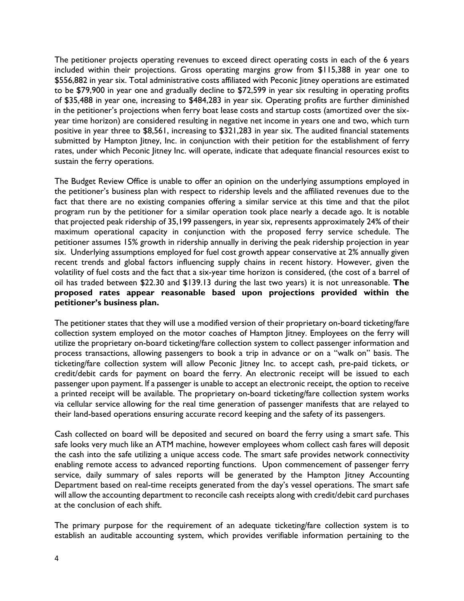The petitioner projects operating revenues to exceed direct operating costs in each of the 6 years included within their projections. Gross operating margins grow from \$115,388 in year one to \$556,882 in year six. Total administrative costs affiliated with Peconic Jitney operations are estimated to be \$79,900 in year one and gradually decline to \$72,599 in year six resulting in operating profits of \$35,488 in year one, increasing to \$484,283 in year six. Operating profits are further diminished in the petitioner's projections when ferry boat lease costs and startup costs (amortized over the sixyear time horizon) are considered resulting in negative net income in years one and two, which turn positive in year three to \$8,561, increasing to \$321,283 in year six. The audited financial statements submitted by Hampton Jitney, Inc. in conjunction with their petition for the establishment of ferry rates, under which Peconic Jitney Inc. will operate, indicate that adequate financial resources exist to sustain the ferry operations.

The Budget Review Office is unable to offer an opinion on the underlying assumptions employed in the petitioner's business plan with respect to ridership levels and the affiliated revenues due to the fact that there are no existing companies offering a similar service at this time and that the pilot program run by the petitioner for a similar operation took place nearly a decade ago. It is notable that projected peak ridership of 35,199 passengers, in year six, represents approximately 24% of their maximum operational capacity in conjunction with the proposed ferry service schedule. The petitioner assumes 15% growth in ridership annually in deriving the peak ridership projection in year six. Underlying assumptions employed for fuel cost growth appear conservative at 2% annually given recent trends and global factors influencing supply chains in recent history. However, given the volatility of fuel costs and the fact that a six-year time horizon is considered, (the cost of a barrel of oil has traded between \$22.30 and \$139.13 during the last two years) it is not unreasonable. **The proposed rates appear reasonable based upon projections provided within the petitioner's business plan.**

The petitioner states that they will use a modified version of their proprietary on-board ticketing/fare collection system employed on the motor coaches of Hampton Jitney. Employees on the ferry will utilize the proprietary on-board ticketing/fare collection system to collect passenger information and process transactions, allowing passengers to book a trip in advance or on a "walk on" basis. The ticketing/fare collection system will allow Peconic Jitney Inc. to accept cash, pre-paid tickets, or credit/debit cards for payment on board the ferry. An electronic receipt will be issued to each passenger upon payment. If a passenger is unable to accept an electronic receipt, the option to receive a printed receipt will be available. The proprietary on-board ticketing/fare collection system works via cellular service allowing for the real time generation of passenger manifests that are relayed to their land-based operations ensuring accurate record keeping and the safety of its passengers.

Cash collected on board will be deposited and secured on board the ferry using a smart safe. This safe looks very much like an ATM machine, however employees whom collect cash fares will deposit the cash into the safe utilizing a unique access code. The smart safe provides network connectivity enabling remote access to advanced reporting functions. Upon commencement of passenger ferry service, daily summary of sales reports will be generated by the Hampton litney Accounting Department based on real-time receipts generated from the day's vessel operations. The smart safe will allow the accounting department to reconcile cash receipts along with credit/debit card purchases at the conclusion of each shift.

The primary purpose for the requirement of an adequate ticketing/fare collection system is to establish an auditable accounting system, which provides verifiable information pertaining to the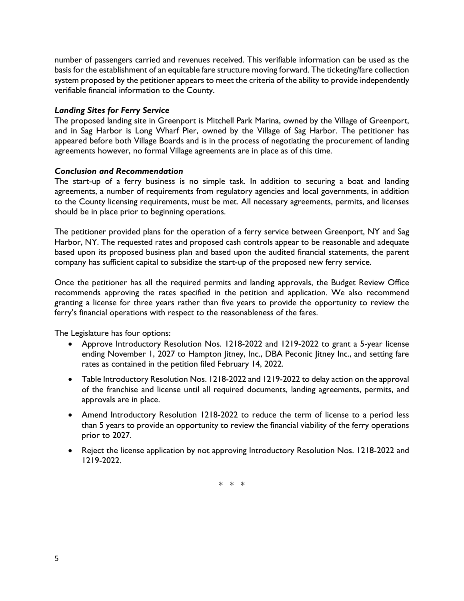number of passengers carried and revenues received. This verifiable information can be used as the basis for the establishment of an equitable fare structure moving forward. The ticketing/fare collection system proposed by the petitioner appears to meet the criteria of the ability to provide independently verifiable financial information to the County.

# *Landing Sites for Ferry Service*

The proposed landing site in Greenport is Mitchell Park Marina, owned by the Village of Greenport, and in Sag Harbor is Long Wharf Pier, owned by the Village of Sag Harbor. The petitioner has appeared before both Village Boards and is in the process of negotiating the procurement of landing agreements however, no formal Village agreements are in place as of this time.

# *Conclusion and Recommendation*

The start-up of a ferry business is no simple task. In addition to securing a boat and landing agreements, a number of requirements from regulatory agencies and local governments, in addition to the County licensing requirements, must be met. All necessary agreements, permits, and licenses should be in place prior to beginning operations.

The petitioner provided plans for the operation of a ferry service between Greenport, NY and Sag Harbor, NY. The requested rates and proposed cash controls appear to be reasonable and adequate based upon its proposed business plan and based upon the audited financial statements, the parent company has sufficient capital to subsidize the start-up of the proposed new ferry service.

Once the petitioner has all the required permits and landing approvals, the Budget Review Office recommends approving the rates specified in the petition and application. We also recommend granting a license for three years rather than five years to provide the opportunity to review the ferry's financial operations with respect to the reasonableness of the fares.

The Legislature has four options:

- Approve Introductory Resolution Nos. 1218-2022 and 1219-2022 to grant a 5-year license ending November 1, 2027 to Hampton Jitney, Inc., DBA Peconic Jitney Inc., and setting fare rates as contained in the petition filed February 14, 2022.
- Table Introductory Resolution Nos. 1218-2022 and 1219-2022 to delay action on the approval of the franchise and license until all required documents, landing agreements, permits, and approvals are in place.
- Amend Introductory Resolution 1218-2022 to reduce the term of license to a period less than 5 years to provide an opportunity to review the financial viability of the ferry operations prior to 2027.
- Reject the license application by not approving Introductory Resolution Nos. 1218-2022 and 1219-2022.

\* \* \*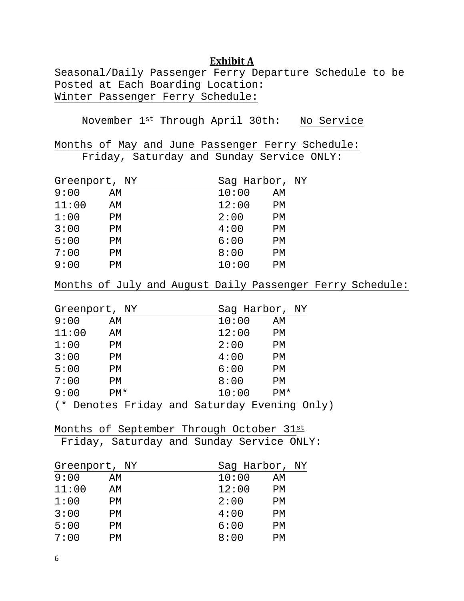# **Exhibit A**

Seasonal/Daily Passenger Ferry Departure Schedule to be Posted at Each Boarding Location: Winter Passenger Ferry Schedule:

November 1st Through April 30th: No Service

Months of May and June Passenger Ferry Schedule:

Friday, Saturday and Sunday Service ONLY:

| Greenport, NY |    | Saq Harbor, NY |  |
|---------------|----|----------------|--|
| 9:00          | AΜ | 10:00<br>AΜ    |  |
| 11:00         | AΜ | 12:00<br>PM    |  |
| 1:00          | PМ | 2:00<br>PМ     |  |
| 3:00          | PМ | 4:00<br>PM     |  |
| 5:00          | PМ | 6:00<br>PM     |  |
| 7:00          | PМ | 8:00<br>PM     |  |
| 9:00          | PМ | 10:00<br>РM    |  |
|               |    |                |  |

Months of July and August Daily Passenger Ferry Schedule:

| Greenport, NY |       |  | Sag Harbor, NY                               |       |  |  |
|---------------|-------|--|----------------------------------------------|-------|--|--|
| 9:00          | AM    |  | 10:00                                        | ΑM    |  |  |
| 11:00         | AM    |  | 12:00                                        | PM    |  |  |
| 1:00          | PM    |  | 2:00                                         | PM    |  |  |
| 3:00          | PM    |  | 4:00                                         | PM    |  |  |
| 5:00          | РM    |  | 6:00                                         | PM    |  |  |
| 7:00          | РM    |  | 8:00                                         | PM    |  |  |
| 9:00          | $PM*$ |  | 10:00                                        | $PM*$ |  |  |
|               |       |  | (* Denotes Friday and Saturday Evening Only) |       |  |  |

Months of September Through October 31st Friday, Saturday and Sunday Service ONLY:

| Greenport, NY |    | Sag Harbor, NY |  |
|---------------|----|----------------|--|
| 9:00          | AΜ | 10:00<br>AΜ    |  |
| 11:00         | AΜ | 12:00<br>PМ    |  |
| 1:00          | PМ | 2:00<br>РM     |  |
| 3:00          | PМ | 4:00<br>PМ     |  |
| 5:00          | PМ | 6:00<br>РM     |  |
| 7:00          | PМ | 8:00<br>PМ     |  |
|               |    |                |  |